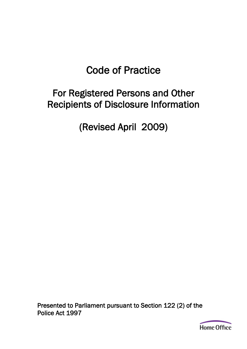# Code of Practice

# For Registered Persons and Other Recipients of Disclosure Information

(Revised April 2009)

Presented to Parliament pursuant to Section 122 (2) of the Police Act 1997

**Home Office**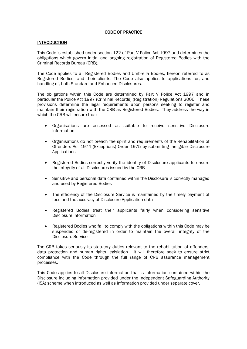# CODE OF PRACTICE

#### **INTRODUCTION**

This Code is established under section 122 of Part V Police Act 1997 and determines the obligations which govern initial and ongoing registration of Registered Bodies with the Criminal Records Bureau (CRB).

The Code applies to all Registered Bodies and Umbrella Bodies, hereon referred to as Registered Bodies, and their clients. The Code also applies to applications for, and handling of, both Standard and Enhanced Disclosures.

The obligations within this Code are determined by Part V Police Act 1997 and in particular the Police Act 1997 (Criminal Records) (Registration) Regulations 2006. These provisions determine the legal requirements upon persons seeking to register and maintain their registration with the CRB as Registered Bodies. They address the way in which the CRB will ensure that:

- Organisations are assessed as suitable to receive sensitive Disclosure information
- Organisations do not breach the spirit and requirements of the Rehabilitation of Offenders Act 1974 (Exceptions) Order 1975 by submitting ineligible Disclosure **Applications**
- Registered Bodies correctly verify the identity of Disclosure applicants to ensure the integrity of all Disclosures issued by the CRB
- Sensitive and personal data contained within the Disclosure is correctly managed and used by Registered Bodies
- The efficiency of the Disclosure Service is maintained by the timely payment of fees and the accuracy of Disclosure Application data
- Registered Bodies treat their applicants fairly when considering sensitive Disclosure information
- Registered Bodies who fail to comply with the obligations within this Code may be suspended or de-registered in order to maintain the overall integrity of the Disclosure Service

The CRB takes seriously its statutory duties relevant to the rehabilitation of offenders, data protection and human rights legislation. It will therefore seek to ensure strict compliance with the Code through the full range of CRB assurance management processes.

This Code applies to all Disclosure information that is information contained within the Disclosure including information provided under the Independent Safeguarding Authority (ISA) scheme when introduced as well as information provided under separate cover.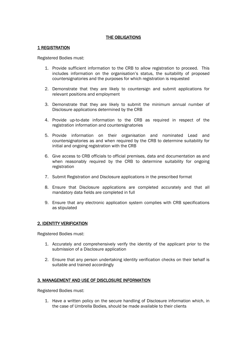# THE OBLIGATIONS

# 1 REGISTRATION

Registered Bodies must:

- 1. Provide sufficient information to the CRB to allow registration to proceed. This includes information on the organisation's status, the suitability of proposed countersignatories and the purposes for which registration is requested
- 2. Demonstrate that they are likely to countersign and submit applications for relevant positions and employment
- 3. Demonstrate that they are likely to submit the minimum annual number of Disclosure applications determined by the CRB
- 4. Provide up-to-date information to the CRB as required in respect of the registration information and countersignatories
- 5. Provide information on their organisation and nominated Lead and countersignatories as and when required by the CRB to determine suitability for initial and ongoing registration with the CRB
- 6. Give access to CRB officials to official premises, data and documentation as and when reasonably required by the CRB to determine suitability for ongoing registration
- 7. Submit Registration and Disclosure applications in the prescribed format
- 8. Ensure that Disclosure applications are completed accurately and that all mandatory data fields are completed in full
- 9. Ensure that any electronic application system complies with CRB specifications as stipulated

# 2. IDENTITY VERIFICATION

Registered Bodies must:

- 1. Accurately and comprehensively verify the identity of the applicant prior to the submission of a Disclosure application
- 2. Ensure that any person undertaking identity verification checks on their behalf is suitable and trained accordingly

#### 3. MANAGEMENT AND USE OF DISCLOSURE INFORMATION

Registered Bodies must:

1. Have a written policy on the secure handling of Disclosure information which, in the case of Umbrella Bodies, should be made available to their clients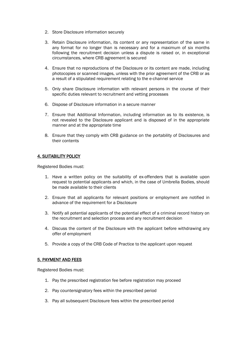- 2. Store Disclosure information securely
- 3. Retain Disclosure information, its content or any representation of the same in any format for no longer than is necessary and for a maximum of six months following the recruitment decision unless a dispute is raised or, in exceptional circumstances, where CRB agreement is secured
- 4. Ensure that no reproductions of the Disclosure or its content are made, including photocopies or scanned images, unless with the prior agreement of the CRB or as a result of a stipulated requirement relating to the e-channel service
- 5. Only share Disclosure information with relevant persons in the course of their specific duties relevant to recruitment and vetting processes
- 6. Dispose of Disclosure information in a secure manner
- 7. Ensure that Additional Information, including information as to its existence, is not revealed to the Disclosure applicant and is disposed of in the appropriate manner and at the appropriate time
- 8. Ensure that they comply with CRB guidance on the portability of Disclosures and their contents

# 4. SUITABILITY POLICY

Registered Bodies must:

- 1. Have a written policy on the suitability of ex-offenders that is available upon request to potential applicants and which, in the case of Umbrella Bodies, should be made available to their clients
- 2. Ensure that all applicants for relevant positions or employment are notified in advance of the requirement for a Disclosure
- 3. Notify all potential applicants of the potential effect of a criminal record history on the recruitment and selection process and any recruitment decision
- 4. Discuss the content of the Disclosure with the applicant before withdrawing any offer of employment
- 5. Provide a copy of the CRB Code of Practice to the applicant upon request

# 5. PAYMENT AND FEES

Registered Bodies must:

- 1. Pay the prescribed registration fee before registration may proceed
- 2. Pay countersignatory fees within the prescribed period
- 3. Pay all subsequent Disclosure fees within the prescribed period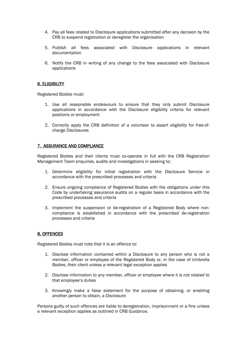- 4. Pay all fees related to Disclosure applications submitted after any decision by the CRB to suspend registration or deregister the organisation
- 5. Publish all fees associated with Disclosure applications in relevant documentation
- 6. Notify the CRB in writing of any change to the fees associated with Disclosure applications

# 6. ELIGIBILITY

Registered Bodies must:

- 1. Use all reasonable endeavours to ensure that they only submit Disclosure applications in accordance with the Disclosure eligibility criteria for relevant positions or employment
- 2. Correctly apply the CRB definition of a volunteer to assert eligibility for free-ofcharge Disclosures

# 7. ASSURANCE AND COMPLIANCE

Registered Bodies and their clients must co-operate in full with the CRB Registration Management Team enquiries, audits and investigations in seeking to:

- 1. Determine eligibility for initial registration with the Disclosure Service in accordance with the prescribed processes and criteria
- 2. Ensure ongoing compliance of Registered Bodies with the obligations under this Code by undertaking assurance audits on a regular basis in accordance with the prescribed processes and criteria
- 3. Implement the suspension or de-registration of a Registered Body where noncompliance is established in accordance with the prescribed de-registration processes and criteria

#### 8. OFFENCES

Registered Bodies must note that it is an offence to:

- 1. Disclose information contained within a Disclosure to any person who is not a member, officer or employee of the Registered Body or, in the case of Umbrella Bodies, their client unless a relevant legal exception applies
- 2. Disclose information to any member, officer or employee where it is not related to that employee's duties
- 3. Knowingly make a false statement for the purpose of obtaining, or enabling another person to obtain, a Disclosure

Persons guilty of such offences are liable to deregistration, imprisonment or a fine unless a relevant exception applies as outlined in CRB Guidance.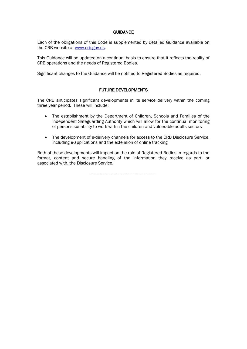# **GUIDANCE**

Each of the obligations of this Code is supplemented by detailed Guidance available on the CRB website at [www.crb.gov.uk.](http://www.crb.gov.uk/)

This Guidance will be updated on a continual basis to ensure that it reflects the reality of CRB operations and the needs of Registered Bodies.

Significant changes to the Guidance will be notified to Registered Bodies as required.

# FUTURE DEVELOPMENTS

The CRB anticipates significant developments in its service delivery within the coming three year period. These will include:

- The establishment by the Department of Children, Schools and Families of the Independent Safeguarding Authority which will allow for the continual monitoring of persons suitability to work within the children and vulnerable adults sectors
- The development of e-delivery channels for access to the CRB Disclosure Service, including e-applications and the extension of online tracking

Both of these developments will impact on the role of Registered Bodies in regards to the format, content and secure handling of the information they receive as part, or associated with, the Disclosure Service.

-----------------------------------------------------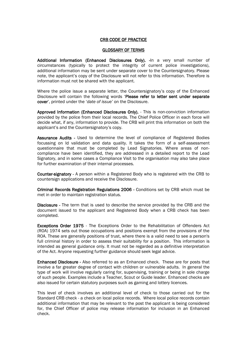# CRB CODE OF PRACTICE

#### GLOSSARY OF TERMS

Additional Information (Enhanced Disclosures Only). - In a very small number of circumstances (typically to protect the integrity of current police investigations), additional information may be sent under separate cover to the Countersignatory. Please note, the applicant's copy of the Disclosure will not refer to this information. Therefore is information must not be shared with the applicant.

Where the police issue a separate letter, the Countersignatory's copy of the Enhanced Disclosure will contain the following words 'Please refer to letter sent under separate cover', printed under the '*date of issue'* on the Disclosure.

Approved Information (Enhanced Disclosures Only). - This is non-conviction information provided by the police from their local records. The Chief Police Officer in each force will decide what, if any, information to provide. The CRB will print this information on both the applicant's and the Countersignatory's copy.

Assurance Audits - Used to determine the level of compliance of Registered Bodies focussing on Id validation and data quality. It takes the form of a self-assessment questionnaire that must be completed by Lead Signatories. Where areas of noncompliance have been identified, they are addressed in a detailed report to the Lead Signatory, and in some cases a Compliance Visit to the organisation may also take place for further examination of their internal processes.

Counter-signatory - A person within a Registered Body who is registered with the CRB to countersign applications and receive the Disclosure.

Criminal Records Registration Regulations 2006 - Conditions set by CRB which must be met in order to maintain registration status.

Disclosure - The term that is used to describe the service provided by the CRB and the document issued to the applicant and Registered Body when a CRB check has been completed.

Exceptions Order 1975 - The Exceptions Order to the Rehabilitation of Offenders Act (ROA) 1974 sets out those occupations and positions exempt from the provisions of the ROA. These are generally positions of trust, where there is a valid need to see a person's full criminal history in order to assess their suitability for a position. This information is intended as general guidance only. It must not be regarded as a definitive interpretation of the Act. Anyone requesting further guidance should seek legal advice.

Enhanced Disclosure - Also referred to as an Enhanced check. These are for posts that involve a far greater degree of contact with children or vulnerable adults. In general the type of work will involve regularly caring for, supervising, training or being in sole charge of such people. Examples include a Teacher, Scout or Guide leader. Enhanced checks are also issued for certain statutory purposes such as gaming and lottery licences.

This level of check involves an additional level of check to those carried out for the Standard CRB check - a check on local police records. Where local police records contain additional information that may be relevant to the post the applicant is being considered for, the Chief Officer of police may release information for inclusion in an Enhanced check.